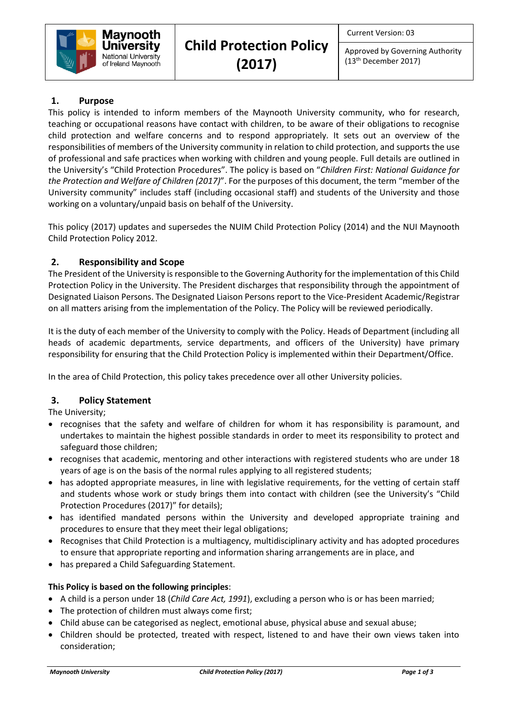

Approved by Governing Authority (13th December 2017)

## **1. Purpose**

This policy is intended to inform members of the Maynooth University community, who for research, teaching or occupational reasons have contact with children, to be aware of their obligations to recognise child protection and welfare concerns and to respond appropriately. It sets out an overview of the responsibilities of members of the University community in relation to child protection, and supports the use of professional and safe practices when working with children and young people. Full details are outlined in the University's "Child Protection Procedures". The policy is based on "*Children First: National Guidance for the Protection and Welfare of Children (2017)*". For the purposes of this document, the term "member of the University community" includes staff (including occasional staff) and students of the University and those working on a voluntary/unpaid basis on behalf of the University.

This policy (2017) updates and supersedes the NUIM Child Protection Policy (2014) and the NUI Maynooth Child Protection Policy 2012.

## **2. Responsibility and Scope**

The President of the University is responsible to the Governing Authority for the implementation of this Child Protection Policy in the University. The President discharges that responsibility through the appointment of Designated Liaison Persons. The Designated Liaison Persons report to the Vice-President Academic/Registrar on all matters arising from the implementation of the Policy. The Policy will be reviewed periodically.

It is the duty of each member of the University to comply with the Policy. Heads of Department (including all heads of academic departments, service departments, and officers of the University) have primary responsibility for ensuring that the Child Protection Policy is implemented within their Department/Office.

In the area of Child Protection, this policy takes precedence over all other University policies.

## **3. Policy Statement**

The University;

- recognises that the safety and welfare of children for whom it has responsibility is paramount, and undertakes to maintain the highest possible standards in order to meet its responsibility to protect and safeguard those children;
- recognises that academic, mentoring and other interactions with registered students who are under 18 years of age is on the basis of the normal rules applying to all registered students;
- has adopted appropriate measures, in line with legislative requirements, for the vetting of certain staff and students whose work or study brings them into contact with children (see the University's "Child Protection Procedures (2017)" for details);
- has identified mandated persons within the University and developed appropriate training and procedures to ensure that they meet their legal obligations;
- Recognises that Child Protection is a multiagency, multidisciplinary activity and has adopted procedures to ensure that appropriate reporting and information sharing arrangements are in place, and
- has prepared a Child Safeguarding Statement.

## **This Policy is based on the following principles**:

- A child is a person under 18 (*Child Care Act, 1991*), excluding a person who is or has been married;
- The protection of children must always come first;
- Child abuse can be categorised as neglect, emotional abuse, physical abuse and sexual abuse;
- Children should be protected, treated with respect, listened to and have their own views taken into consideration;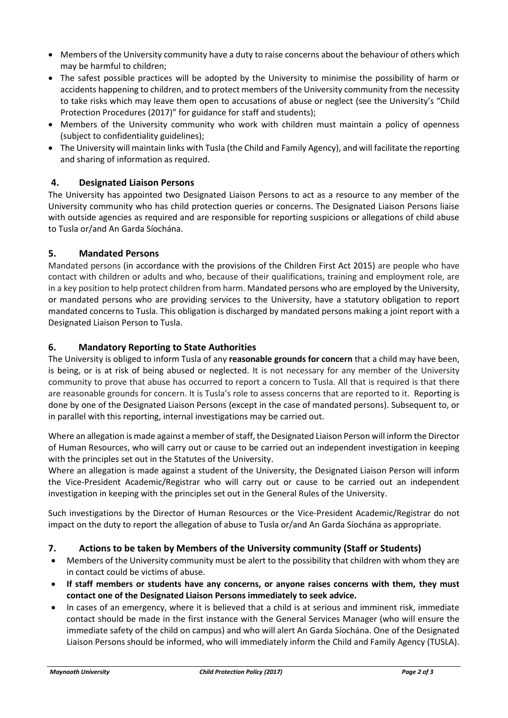- Members of the University community have a duty to raise concerns about the behaviour of others which may be harmful to children;
- The safest possible practices will be adopted by the University to minimise the possibility of harm or accidents happening to children, and to protect members of the University community from the necessity to take risks which may leave them open to accusations of abuse or neglect (see the University's "Child Protection Procedures (2017)" for guidance for staff and students);
- Members of the University community who work with children must maintain a policy of openness (subject to confidentiality guidelines);
- The University will maintain links with Tusla (the Child and Family Agency), and will facilitate the reporting and sharing of information as required.

# **4. Designated Liaison Persons**

The University has appointed two Designated Liaison Persons to act as a resource to any member of the University community who has child protection queries or concerns. The Designated Liaison Persons liaise with outside agencies as required and are responsible for reporting suspicions or allegations of child abuse to Tusla or/and An Garda Síochána.

## **5. Mandated Persons**

Mandated persons (in accordance with the provisions of the Children First Act 2015) are people who have contact with children or adults and who, because of their qualifications, training and employment role, are in a key position to help protect children from harm. Mandated persons who are employed by the University, or mandated persons who are providing services to the University, have a statutory obligation to report mandated concerns to Tusla. This obligation is discharged by mandated persons making a joint report with a Designated Liaison Person to Tusla.

## **6. Mandatory Reporting to State Authorities**

The University is obliged to inform Tusla of any **reasonable grounds for concern** that a child may have been, is being, or is at risk of being abused or neglected. It is not necessary for any member of the University community to prove that abuse has occurred to report a concern to Tusla. All that is required is that there are reasonable grounds for concern. It is Tusla's role to assess concerns that are reported to it. Reporting is done by one of the Designated Liaison Persons (except in the case of mandated persons). Subsequent to, or in parallel with this reporting, internal investigations may be carried out.

Where an allegation is made against a member of staff, the Designated Liaison Person will inform the Director of Human Resources, who will carry out or cause to be carried out an independent investigation in keeping with the principles set out in the Statutes of the University.

Where an allegation is made against a student of the University, the Designated Liaison Person will inform the Vice-President Academic/Registrar who will carry out or cause to be carried out an independent investigation in keeping with the principles set out in the General Rules of the University.

Such investigations by the Director of Human Resources or the Vice-President Academic/Registrar do not impact on the duty to report the allegation of abuse to Tusla or/and An Garda Síochána as appropriate.

# **7. Actions to be taken by Members of the University community (Staff or Students)**

- Members of the University community must be alert to the possibility that children with whom they are in contact could be victims of abuse.
- **If staff members or students have any concerns, or anyone raises concerns with them, they must contact one of the Designated Liaison Persons immediately to seek advice.**
- In cases of an emergency, where it is believed that a child is at serious and imminent risk, immediate contact should be made in the first instance with the General Services Manager (who will ensure the immediate safety of the child on campus) and who will alert An Garda Síochána. One of the Designated Liaison Persons should be informed, who will immediately inform the Child and Family Agency (TUSLA).